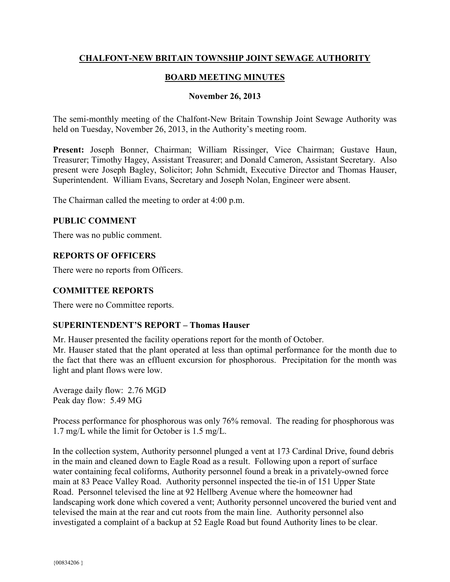## **CHALFONT-NEW BRITAIN TOWNSHIP JOINT SEWAGE AUTHORITY**

# **BOARD MEETING MINUTES**

### **November 26, 2013**

The semi-monthly meeting of the Chalfont-New Britain Township Joint Sewage Authority was held on Tuesday, November 26, 2013, in the Authority's meeting room.

**Present:** Joseph Bonner, Chairman; William Rissinger, Vice Chairman; Gustave Haun, Treasurer; Timothy Hagey, Assistant Treasurer; and Donald Cameron, Assistant Secretary. Also present were Joseph Bagley, Solicitor; John Schmidt, Executive Director and Thomas Hauser, Superintendent. William Evans, Secretary and Joseph Nolan, Engineer were absent.

The Chairman called the meeting to order at 4:00 p.m.

### **PUBLIC COMMENT**

There was no public comment.

### **REPORTS OF OFFICERS**

There were no reports from Officers.

## **COMMITTEE REPORTS**

There were no Committee reports.

## **SUPERINTENDENT'S REPORT – Thomas Hauser**

Mr. Hauser presented the facility operations report for the month of October.

Mr. Hauser stated that the plant operated at less than optimal performance for the month due to the fact that there was an effluent excursion for phosphorous. Precipitation for the month was light and plant flows were low.

Average daily flow: 2.76 MGD Peak day flow: 5.49 MG

Process performance for phosphorous was only 76% removal. The reading for phosphorous was 1.7 mg/L while the limit for October is 1.5 mg/L.

In the collection system, Authority personnel plunged a vent at 173 Cardinal Drive, found debris in the main and cleaned down to Eagle Road as a result. Following upon a report of surface water containing fecal coliforms, Authority personnel found a break in a privately-owned force main at 83 Peace Valley Road. Authority personnel inspected the tie-in of 151 Upper State Road. Personnel televised the line at 92 Hellberg Avenue where the homeowner had landscaping work done which covered a vent; Authority personnel uncovered the buried vent and televised the main at the rear and cut roots from the main line. Authority personnel also investigated a complaint of a backup at 52 Eagle Road but found Authority lines to be clear.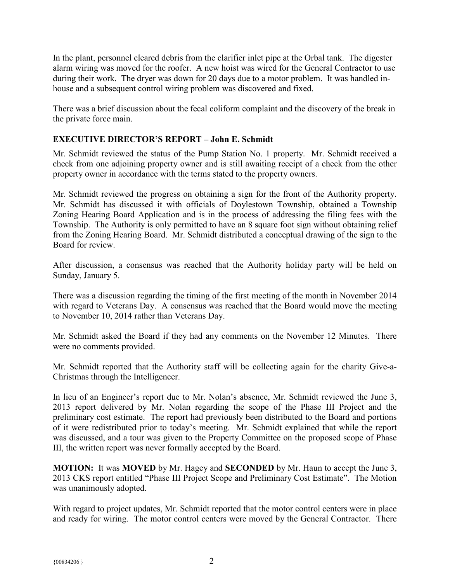In the plant, personnel cleared debris from the clarifier inlet pipe at the Orbal tank. The digester alarm wiring was moved for the roofer. A new hoist was wired for the General Contractor to use during their work. The dryer was down for 20 days due to a motor problem. It was handled inhouse and a subsequent control wiring problem was discovered and fixed.

There was a brief discussion about the fecal coliform complaint and the discovery of the break in the private force main.

# **EXECUTIVE DIRECTOR'S REPORT – John E. Schmidt**

Mr. Schmidt reviewed the status of the Pump Station No. 1 property. Mr. Schmidt received a check from one adjoining property owner and is still awaiting receipt of a check from the other property owner in accordance with the terms stated to the property owners.

Mr. Schmidt reviewed the progress on obtaining a sign for the front of the Authority property. Mr. Schmidt has discussed it with officials of Doylestown Township, obtained a Township Zoning Hearing Board Application and is in the process of addressing the filing fees with the Township. The Authority is only permitted to have an 8 square foot sign without obtaining relief from the Zoning Hearing Board. Mr. Schmidt distributed a conceptual drawing of the sign to the Board for review.

After discussion, a consensus was reached that the Authority holiday party will be held on Sunday, January 5.

There was a discussion regarding the timing of the first meeting of the month in November 2014 with regard to Veterans Day. A consensus was reached that the Board would move the meeting to November 10, 2014 rather than Veterans Day.

Mr. Schmidt asked the Board if they had any comments on the November 12 Minutes. There were no comments provided.

Mr. Schmidt reported that the Authority staff will be collecting again for the charity Give-a-Christmas through the Intelligencer.

In lieu of an Engineer's report due to Mr. Nolan's absence, Mr. Schmidt reviewed the June 3, 2013 report delivered by Mr. Nolan regarding the scope of the Phase III Project and the preliminary cost estimate. The report had previously been distributed to the Board and portions of it were redistributed prior to today's meeting. Mr. Schmidt explained that while the report was discussed, and a tour was given to the Property Committee on the proposed scope of Phase III, the written report was never formally accepted by the Board.

**MOTION:** It was **MOVED** by Mr. Hagey and **SECONDED** by Mr. Haun to accept the June 3, 2013 CKS report entitled "Phase III Project Scope and Preliminary Cost Estimate". The Motion was unanimously adopted.

With regard to project updates, Mr. Schmidt reported that the motor control centers were in place and ready for wiring. The motor control centers were moved by the General Contractor. There